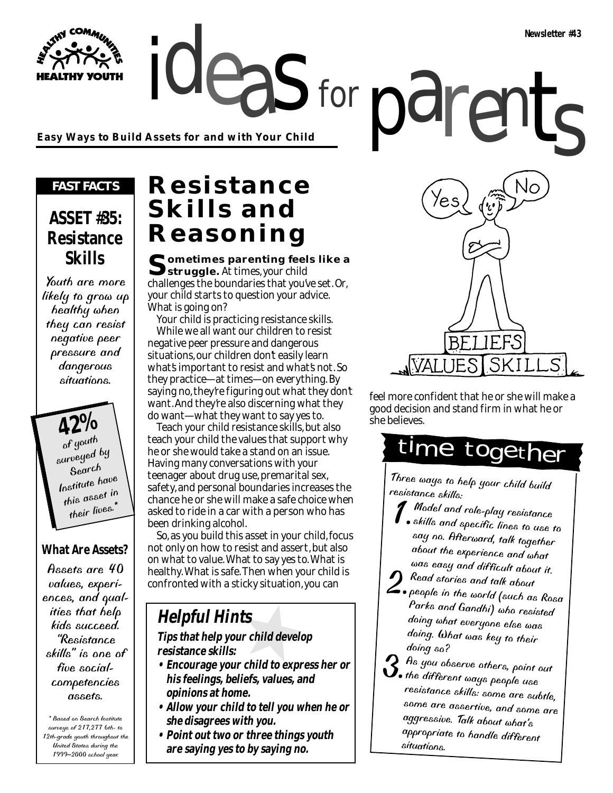**Easy Ways to Build Assets for and with Your Child**

#### *FAST FACTS*

**Y YOUTH** 

### **ASSET #35: Resistance Skills**

Youth are more likely to grow up healthy when they can resist negative peer pressure and dangerous situations.

> **42%** of youth surveyed by Search Institute have this asset in their lives.<sup>\*</sup>

### **What Are Assets?**

Assets are 40 values, experiences, and qualities that help kids succeed. "Resistance skills" is one of five socialcompetencies assets.

\* Based on Search Institute surveys of 217,277 6th- to 12th-grade youth throughout the United States during the 1999–2000 school year.

### **Resistance Skills and Reasoning**

**Sometimes parenting feels like a struggle.** At times, your child challenges the boundaries that you've set. Or, your child starts to question your advice. What is going on?

for

Your child is practicing resistance skills. While we all want our children to resist negative peer pressure and dangerous situations, our children don't easily learn what's important to resist and what's not. So they practice—at times—on everything. By saying no, they're figuring out what they don't want. And they're also discerning what they do want—what they want to say yes to.

Teach your child resistance skills, but also teach your child the values that support why he or she would take a stand on an issue. Having many conversations with your teenager about drug use, premarital sex, safety, and personal boundaries increases the chance he or she will make a safe choice when asked to ride in a car with a person who has been drinking alcohol.

So, as you build this asset in your child, focus not only on how to resist and assert, but also on what to value. What to say yes to. What is healthy. What is safe. Then when your child is confronted with a sticky situation, you can

### **Helpful Hints**

#### **Tips that help your child develop resistance skills:**

- **Encourage your child to express her or his feelings, beliefs, values, and opinions at home.**
- **Allow your child to tell you when he or she disagrees with you.**
- **Point out two or three things youth are saying yes to by saying no.**



feel more confident that he or she will make a good decision and stand firm in what he or she believes.

# time together

Three ways to help your child build resistance skills:

- $\blacksquare$  Model and role-play resistance skills and specific lines to use to say no. Afterward, talk together about the experience and what was easy and difficult about it.
- **2.** Read stories and talk about people in the world (such as Rosa Parks and Gandhi) who resisted Parks and Gandhi) who resisted<br>doing what everyone else was doing. What was key to their doing so?
- $3.$  As you observe others, point out the different ways people use resistance skills: some are subtle, some are assertive, and some are aggressive. Talk about what's appropriate to handle different situations.